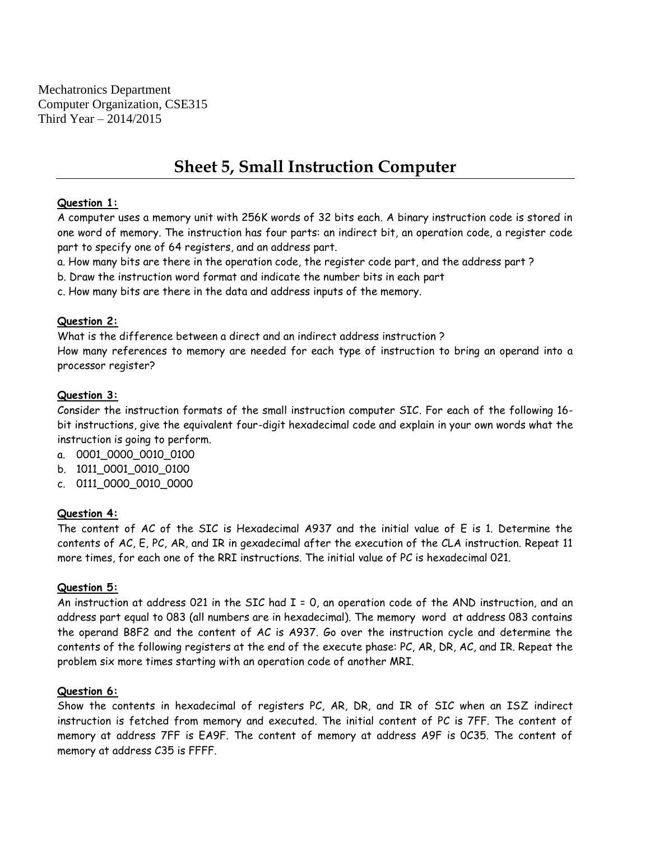Mechatronics Department Computer Organization, CSE315 Third Year – 2014/2015

# **Sheet 5, Small Instruction Computer**

#### **Question 1:**

A computer uses a memory unit with 256K words of 32 bits each. A binary instruction code is stored in one word of memory. The instruction has four parts: an indirect bit, an operation code, a register code part to specify one of 64 registers, and an address part.

- a. How many bits are there in the operation code, the register code part, and the address part ?
- b. Draw the instruction word format and indicate the number bits in each part
- c. How many bits are there in the data and address inputs of the memory.

## **Question 2:**

What is the difference between a direct and an indirect address instruction ? How many references to memory are needed for each type of instruction to bring an operand into a processor register?

## **Question 3:**

Consider the instruction formats of the small instruction computer SIC. For each of the following 16 bit instructions, give the equivalent four-digit hexadecimal code and explain in your own words what the instruction is going to perform.

- a. 0001\_0000\_0010\_0100
- b. 1011\_0001\_0010\_0100
- c. 0111\_0000\_0010\_0000

#### **Question 4:**

The content of AC of the SIC is Hexadecimal A937 and the initial value of E is 1. Determine the contents of AC, E, PC, AR, and IR in gexadecimal after the execution of the CLA instruction. Repeat 11 more times, for each one of the RRI instructions. The initial value of PC is hexadecimal 021.

#### **Question 5:**

An instruction at address 021 in the SIC had I = 0, an operation code of the AND instruction, and an address part equal to 083 (all numbers are in hexadecimal). The memory word at address 083 contains the operand B8F2 and the content of AC is A937. Go over the instruction cycle and determine the contents of the following registers at the end of the execute phase: PC, AR, DR, AC, and IR. Repeat the problem six more times starting with an operation code of another MRI.

#### **Question 6:**

Show the contents in hexadecimal of registers PC, AR, DR, and IR of SIC when an ISZ indirect instruction is fetched from memory and executed. The initial content of PC is 7FF. The content of memory at address 7FF is EA9F. The content of memory at address A9F is 0C35. The content of memory at address C35 is FFFF.